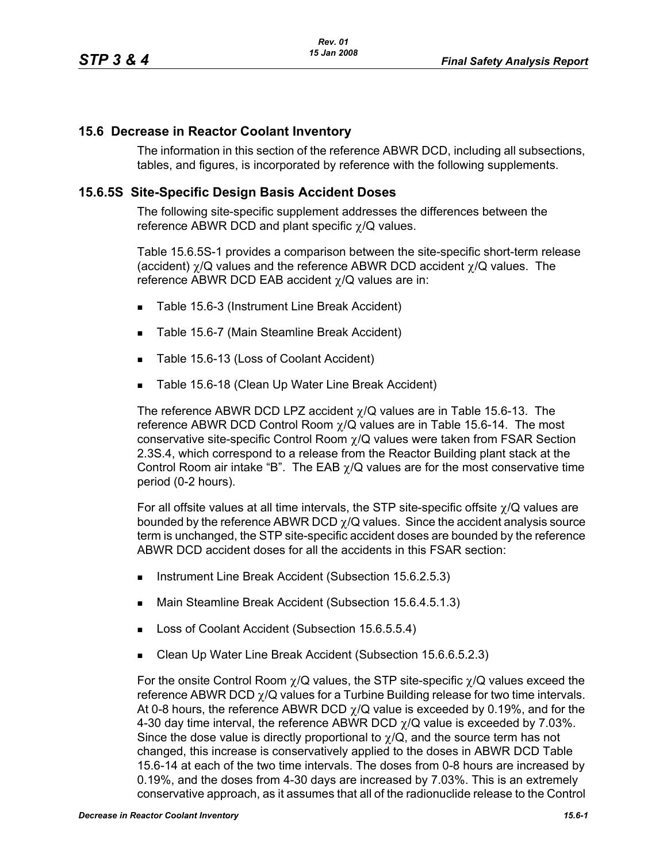## **15.6 Decrease in Reactor Coolant Inventory**

The information in this section of the reference ABWR DCD, including all subsections, tables, and figures, is incorporated by reference with the following supplements.

## **15.6.5S Site-Specific Design Basis Accident Doses**

The following site-specific supplement addresses the differences between the reference ABWR DCD and plant specific χ/Q values.

Table 15.6.5S-1 provides a comparison between the site-specific short-term release (accident)  $\gamma$ /Q values and the reference ABWR DCD accident  $\gamma$ /Q values. The reference ABWR DCD EAB accident χ/Q values are in:

- Table 15.6-3 (Instrument Line Break Accident)
- Table 15.6-7 (Main Steamline Break Accident)
- Table 15.6-13 (Loss of Coolant Accident)
- Table 15.6-18 (Clean Up Water Line Break Accident)

The reference ABWR DCD LPZ accident  $\chi$ /Q values are in Table 15.6-13. The reference ABWR DCD Control Room  $\chi$ /Q values are in Table 15.6-14. The most conservative site-specific Control Room χ/Q values were taken from FSAR Section 2.3S.4, which correspond to a release from the Reactor Building plant stack at the Control Room air intake "B". The EAB  $\gamma$ /Q values are for the most conservative time period (0-2 hours).

For all offsite values at all time intervals, the STP site-specific offsite χ/Q values are bounded by the reference ABWR DCD  $\gamma$ /Q values. Since the accident analysis source term is unchanged, the STP site-specific accident doses are bounded by the reference ABWR DCD accident doses for all the accidents in this FSAR section:

- Instrument Line Break Accident (Subsection 15.6.2.5.3)
- Main Steamline Break Accident (Subsection 15.6.4.5.1.3)
- Loss of Coolant Accident (Subsection 15.6.5.5.4)
- Clean Up Water Line Break Accident (Subsection 15.6.6.5.2.3)

For the onsite Control Room  $\chi$ /Q values, the STP site-specific  $\chi$ /Q values exceed the reference ABWR DCD  $\chi$ /Q values for a Turbine Building release for two time intervals. At 0-8 hours, the reference ABWR DCD  $\gamma$ /Q value is exceeded by 0.19%, and for the 4-30 day time interval, the reference ABWR DCD  $\chi$ /Q value is exceeded by 7.03%. Since the dose value is directly proportional to  $\gamma/Q$ , and the source term has not changed, this increase is conservatively applied to the doses in ABWR DCD Table 15.6-14 at each of the two time intervals. The doses from 0-8 hours are increased by 0.19%, and the doses from 4-30 days are increased by 7.03%. This is an extremely conservative approach, as it assumes that all of the radionuclide release to the Control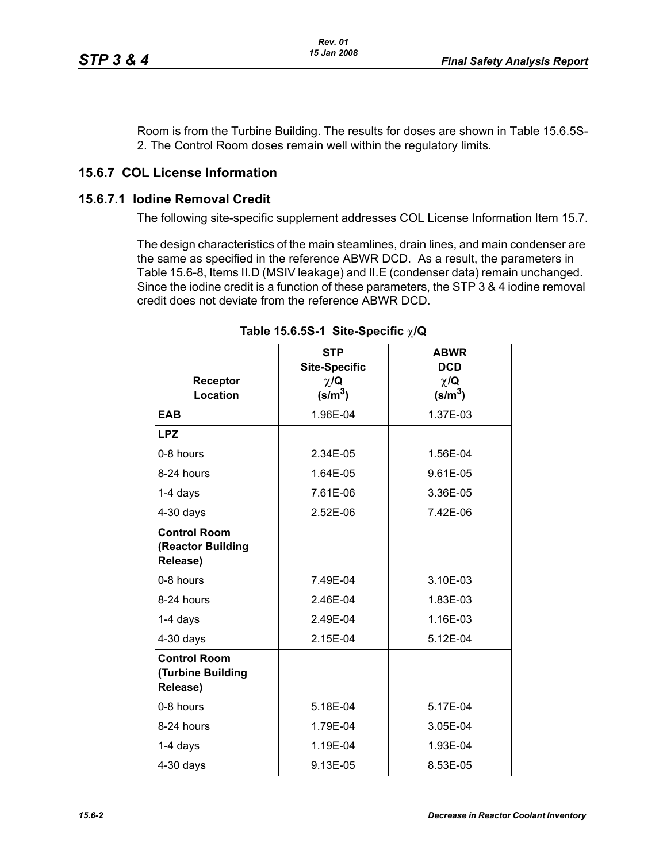Room is from the Turbine Building. The results for doses are shown in Table 15.6.5S-2. The Control Room doses remain well within the regulatory limits.

## **15.6.7 COL License Information**

## **15.6.7.1 Iodine Removal Credit**

The following site-specific supplement addresses COL License Information Item 15.7.

The design characteristics of the main steamlines, drain lines, and main condenser are the same as specified in the reference ABWR DCD. As a result, the parameters in Table 15.6-8, Items II.D (MSIV leakage) and II.E (condenser data) remain unchanged. Since the iodine credit is a function of these parameters, the STP 3 & 4 iodine removal credit does not deviate from the reference ABWR DCD.

| Receptor<br>Location                                 | <b>STP</b><br><b>Site-Specific</b><br>$\chi/\mathbf{Q}$<br>$(s/m^3)$ | <b>ABWR</b><br><b>DCD</b><br>$\chi/\mathbf{Q}$<br>$(s/m^3)$ |
|------------------------------------------------------|----------------------------------------------------------------------|-------------------------------------------------------------|
| <b>EAB</b>                                           | 1.96E-04                                                             | 1.37E-03                                                    |
| <b>LPZ</b>                                           |                                                                      |                                                             |
| 0-8 hours                                            | 2.34E-05                                                             | 1.56E-04                                                    |
| 8-24 hours                                           | 1.64E-05                                                             | 9.61E-05                                                    |
| 1-4 days                                             | 7.61E-06                                                             | 3.36E-05                                                    |
| $4-30$ days                                          | 2.52E-06                                                             | 7.42E-06                                                    |
| <b>Control Room</b><br>(Reactor Building<br>Release) |                                                                      |                                                             |
| 0-8 hours                                            | 7.49E-04                                                             | 3.10E-03                                                    |
| 8-24 hours                                           | 2.46E-04                                                             | 1.83E-03                                                    |
| $1-4$ days                                           | 2.49E-04                                                             | 1.16E-03                                                    |
| $4-30$ days                                          | 2.15E-04                                                             | 5.12E-04                                                    |
| <b>Control Room</b><br>(Turbine Building<br>Release) |                                                                      |                                                             |
| 0-8 hours                                            | 5.18E-04                                                             | 5.17E-04                                                    |
| 8-24 hours                                           | 1.79E-04                                                             | 3.05E-04                                                    |
| 1-4 days                                             | 1.19E-04                                                             | 1.93E-04                                                    |
| $4-30$ days                                          | 9.13E-05                                                             | 8.53E-05                                                    |

**Table 15.6.5S-1 Site-Specific** χ**/Q**